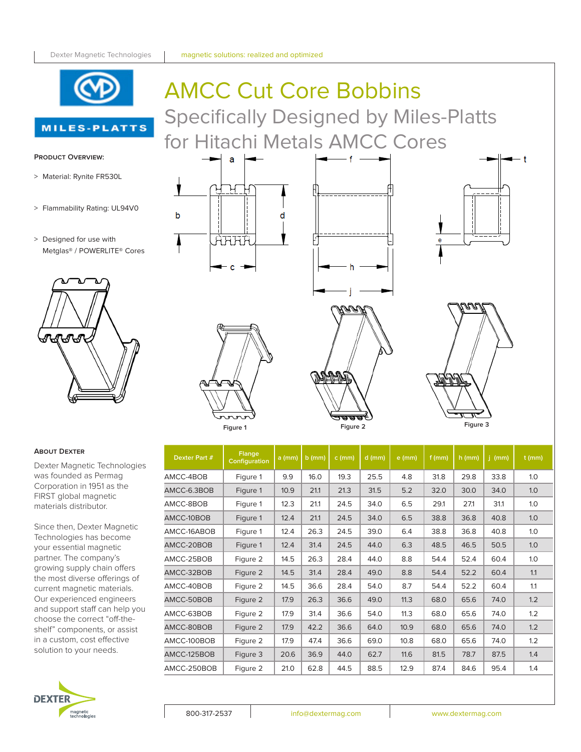

**MILES-PLATTS** 

# AMCC Cut Core Bobbins Specifically Designed by Miles-Platts for Hitachi Metals AMCC Cores

#### **Product Overview:**

- > Material: Rynite FR530L
- > Flammability Rating: UL94V0
- > Designed for use with Metglas® / POWERLITE® Cores





a

AHHA

d

b





#### **About Dexter**

Dexter Magnetic Technologies was founded as Permag Corporation in 1951 as the FIRST global magnetic materials distributor.

Since then, Dexter Magnetic Technologies has become your essential magnetic partner. The company's growing supply chain offers the most diverse offerings of current magnetic materials. Our experienced engineers and support staff can help you choose the correct "off-theshelf" components, or assist in a custom, cost effective solution to your needs.



| Figure 1      |                         |          | Figure 2 |          |          |          | Figure 3 |          |          |          |
|---------------|-------------------------|----------|----------|----------|----------|----------|----------|----------|----------|----------|
| Dexter Part # | Flange<br>Configuration | $a$ (mm) | $b$ (mm) | $c$ (mm) | $d$ (mm) | $e$ (mm) | $f$ (mm) | $h$ (mm) | $j$ (mm) | $t$ (mm) |
| AMCC-4BOB     | Figure 1                | 9.9      | 16.0     | 19.3     | 25.5     | 4.8      | 31.8     | 29.8     | 33.8     | 1.0      |
| AMCC-6.3BOB   | Figure 1                | 10.9     | 21.1     | 21.3     | 31.5     | 5.2      | 32.0     | 30.0     | 34.0     | 1.0      |
| AMCC-8BOB     | Figure 1                | 12.3     | 21.1     | 24.5     | 34.0     | 6.5      | 29.1     | 27.1     | 31.1     | 1.0      |
| AMCC-10BOB    | Figure 1                | 12.4     | 21.1     | 24.5     | 34.0     | 6.5      | 38.8     | 36.8     | 40.8     | 1.0      |
| AMCC-16ABOB   | Figure 1                | 12.4     | 26.3     | 24.5     | 39.0     | 6.4      | 38.8     | 36.8     | 40.8     | 1.0      |
| AMCC-20BOB    | Figure 1                | 12.4     | 31.4     | 24.5     | 44.0     | 6.3      | 48.5     | 46.5     | 50.5     | 1.0      |
| AMCC-25BOB    | Figure 2                | 14.5     | 26.3     | 28.4     | 44.0     | 8.8      | 54.4     | 52.4     | 60.4     | 1.0      |
| AMCC-32BOB    | Figure 2                | 14.5     | 31.4     | 28.4     | 49.0     | 8.8      | 54.4     | 52.2     | 60.4     | 1.1      |
| AMCC-40BOB    | Figure 2                | 14.5     | 36.6     | 28.4     | 54.0     | 8.7      | 54.4     | 52.2     | 60.4     | 1.1      |
| AMCC-50BOB    | Figure 2                | 17.9     | 26.3     | 36.6     | 49.0     | 11.3     | 68.0     | 65.6     | 74.0     | 1.2      |
| AMCC-63BOB    | Figure 2                | 17.9     | 31.4     | 36.6     | 54.0     | 11.3     | 68.0     | 65.6     | 74.0     | 1.2      |
| AMCC-80BOB    | Figure 2                | 17.9     | 42.2     | 36.6     | 64.0     | 10.9     | 68.0     | 65.6     | 74.0     | 1.2      |
| AMCC-100BOB   | Figure 2                | 17.9     | 47.4     | 36.6     | 69.0     | 10.8     | 68.0     | 65.6     | 74.0     | 1.2      |
| AMCC-125BOB   | Figure 3                | 20.6     | 36.9     | 44.0     | 62.7     | 11.6     | 81.5     | 78.7     | 87.5     | 1.4      |
|               | Figure 2                | 21.0     | 62.8     | 44.5     | 88.5     | 12.9     | 87.4     | 84.6     | 95.4     | 1.4      |
| AMCC-250BOB   |                         |          |          |          |          |          |          |          |          |          |